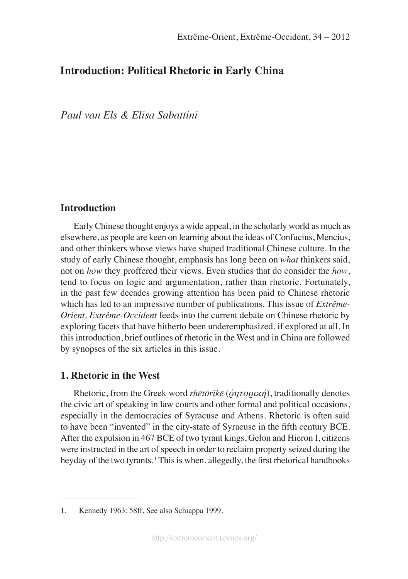# **Introduction: Political Rhetoric in Early China**

*Paul van Els & Elisa Sabattini*

## **Introduction**

Early Chinese thought enjoys a wide appeal, in the scholarly world as much as elsewhere, as people are keen on learning about the ideas of Confucius, Mencius, and other thinkers whose views have shaped traditional Chinese culture. In the study of early Chinese thought, emphasis has long been on *what* thinkers said, not on *how* they proffered their views. Even studies that do consider the *how*, tend to focus on logic and argumentation, rather than rhetoric. Fortunately, in the past few decades growing attention has been paid to Chinese rhetoric which has led to an impressive number of publications. This issue of *Extrême-Orient, Extrême-Occident* feeds into the current debate on Chinese rhetoric by exploring facets that have hitherto been underemphasized, if explored at all. In this introduction, brief outlines of rhetoric in the West and in China are followed by synopses of the six articles in this issue.

## **1. Rhetoric in the West**

Rhetoric, from the Greek word *rhētōrikē* (*ῥητορική*), traditionally denotes the civic art of speaking in law courts and other formal and political occasions, especially in the democracies of Syracuse and Athens. Rhetoric is often said to have been "invented" in the city-state of Syracuse in the fifth century BCE. After the expulsion in 467 BCE of two tyrant kings, Gelon and Hieron I, citizens were instructed in the art of speech in order to reclaim property seized during the heyday of the two tyrants.<sup>1</sup> This is when, allegedly, the first rhetorical handbooks

<sup>1.</sup> Kennedy 1963: 58ff. See also Schiappa 1999.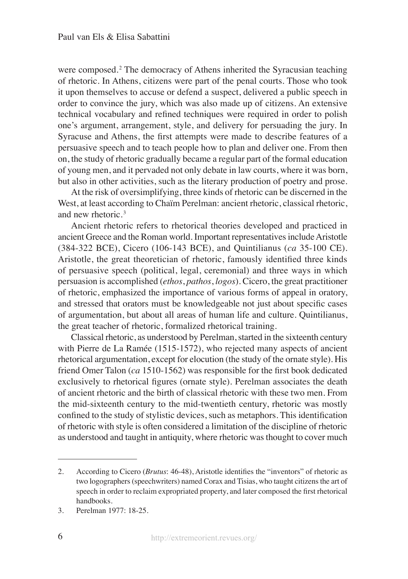were composed.<sup>2</sup> The democracy of Athens inherited the Syracusian teaching of rhetoric. In Athens, citizens were part of the penal courts. Those who took it upon themselves to accuse or defend a suspect, delivered a public speech in order to convince the jury, which was also made up of citizens. An extensive technical vocabulary and refined techniques were required in order to polish one's argument, arrangement, style, and delivery for persuading the jury. In Syracuse and Athens, the first attempts were made to describe features of a persuasive speech and to teach people how to plan and deliver one. From then on, the study of rhetoric gradually became a regular part of the formal education of young men, and it pervaded not only debate in law courts, where it was born, but also in other activities, such as the literary production of poetry and prose.

At the risk of oversimplifying, three kinds of rhetoric can be discerned in the West, at least according to Chaïm Perelman: ancient rhetoric, classical rhetoric, and new rhetoric.3

Ancient rhetoric refers to rhetorical theories developed and practiced in ancient Greece and the Roman world. Important representatives include Aristotle (384-322 BCE), Cicero (106-143 BCE), and Quintilianus (*ca* 35-100 CE). Aristotle, the great theoretician of rhetoric, famously identified three kinds of persuasive speech (political, legal, ceremonial) and three ways in which persuasion is accomplished (*ethos*, *pathos*, *logos*). Cicero, the great practitioner of rhetoric, emphasized the importance of various forms of appeal in oratory, and stressed that orators must be knowledgeable not just about specific cases of argumentation, but about all areas of human life and culture. Quintilianus, the great teacher of rhetoric, formalized rhetorical training.

Classical rhetoric, as understood by Perelman, started in the sixteenth century with Pierre de La Ramée (1515-1572), who rejected many aspects of ancient rhetorical argumentation, except for elocution (the study of the ornate style). His friend Omer Talon (*ca* 1510-1562) was responsible for the first book dedicated exclusively to rhetorical figures (ornate style). Perelman associates the death of ancient rhetoric and the birth of classical rhetoric with these two men. From the mid-sixteenth century to the mid-twentieth century, rhetoric was mostly confined to the study of stylistic devices, such as metaphors. This identification of rhetoric with style is often considered a limitation of the discipline of rhetoric as understood and taught in antiquity, where rhetoric was thought to cover much

<sup>2.</sup> According to Cicero (*Brutus*: 46-48), Aristotle identifies the "inventors" of rhetoric as two logographers (speechwriters) named Corax and Tisias, who taught citizens the art of speech in order to reclaim expropriated property, and later composed the first rhetorical handbooks.

<sup>3.</sup> Perelman 1977: 18-25.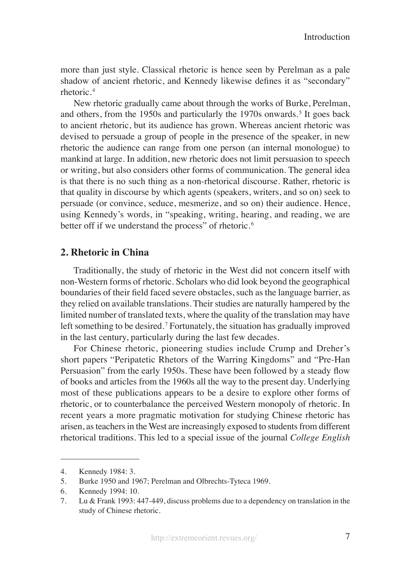more than just style. Classical rhetoric is hence seen by Perelman as a pale shadow of ancient rhetoric, and Kennedy likewise defines it as "secondary" rhetoric.4

New rhetoric gradually came about through the works of Burke, Perelman, and others, from the 1950s and particularly the 1970s onwards.<sup>5</sup> It goes back to ancient rhetoric, but its audience has grown. Whereas ancient rhetoric was devised to persuade a group of people in the presence of the speaker, in new rhetoric the audience can range from one person (an internal monologue) to mankind at large. In addition, new rhetoric does not limit persuasion to speech or writing, but also considers other forms of communication. The general idea is that there is no such thing as a non-rhetorical discourse. Rather, rhetoric is that quality in discourse by which agents (speakers, writers, and so on) seek to persuade (or convince, seduce, mesmerize, and so on) their audience. Hence, using Kennedy's words, in "speaking, writing, hearing, and reading, we are better off if we understand the process" of rhetoric.<sup>6</sup>

### **2. Rhetoric in China**

Traditionally, the study of rhetoric in the West did not concern itself with non-Western forms of rhetoric. Scholars who did look beyond the geographical boundaries of their field faced severe obstacles, such as the language barrier, as they relied on available translations. Their studies are naturally hampered by the limited number of translated texts, where the quality of the translation may have left something to be desired.<sup>7</sup> Fortunately, the situation has gradually improved in the last century, particularly during the last few decades.

For Chinese rhetoric, pioneering studies include Crump and Dreher's short papers "Peripatetic Rhetors of the Warring Kingdoms" and "Pre-Han Persuasion" from the early 1950s. These have been followed by a steady flow of books and articles from the 1960s all the way to the present day. Underlying most of these publications appears to be a desire to explore other forms of rhetoric, or to counterbalance the perceived Western monopoly of rhetoric. In recent years a more pragmatic motivation for studying Chinese rhetoric has arisen, as teachers in the West are increasingly exposed to students from different rhetorical traditions. This led to a special issue of the journal *College English* 

<sup>4.</sup> Kennedy 1984: 3.

<sup>5.</sup> Burke 1950 and 1967; Perelman and Olbrechts-Tyteca 1969.

<sup>6.</sup> Kennedy 1994: 10.

<sup>7.</sup> Lu & Frank 1993: 447-449, discuss problems due to a dependency on translation in the study of Chinese rhetoric.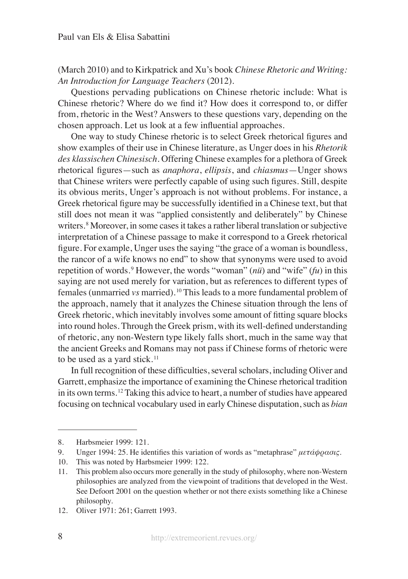(March 2010) and to Kirkpatrick and Xu's book *Chinese Rhetoric and Writing: An Introduction for Language Teachers* (2012).

Questions pervading publications on Chinese rhetoric include: What is Chinese rhetoric? Where do we find it? How does it correspond to, or differ from, rhetoric in the West? Answers to these questions vary, depending on the chosen approach. Let us look at a few influential approaches.

One way to study Chinese rhetoric is to select Greek rhetorical figures and show examples of their use in Chinese literature, as Unger does in his *Rhetorik des klassischen Chinesisch*. Offering Chinese examples for a plethora of Greek rhetorical figures—such as *anaphora*, *ellipsis*, and *chiasmus*—Unger shows that Chinese writers were perfectly capable of using such figures. Still, despite its obvious merits, Unger's approach is not without problems. For instance, a Greek rhetorical figure may be successfully identified in a Chinese text, but that still does not mean it was "applied consistently and deliberately" by Chinese writers.<sup>8</sup> Moreover, in some cases it takes a rather liberal translation or subjective interpretation of a Chinese passage to make it correspond to a Greek rhetorical figure. For example, Unger uses the saying "the grace of a woman is boundless, the rancor of a wife knows no end" to show that synonyms were used to avoid repetition of words. <sup>9</sup> However, the words "woman" (*nü*) and "wife" (*fu*) in this saying are not used merely for variation, but as references to different types of females (unmarried *vs* married).10 This leads to a more fundamental problem of the approach, namely that it analyzes the Chinese situation through the lens of Greek rhetoric, which inevitably involves some amount of fitting square blocks into round holes. Through the Greek prism, with its well-defined understanding of rhetoric, any non-Western type likely falls short, much in the same way that the ancient Greeks and Romans may not pass if Chinese forms of rhetoric were to be used as a yard stick.<sup>11</sup>

In full recognition of these difficulties, several scholars, including Oliver and Garrett, emphasize the importance of examining the Chinese rhetorical tradition in its own terms.12 Taking this advice to heart, a number of studies have appeared focusing on technical vocabulary used in early Chinese disputation, such as *bian* 

<sup>8.</sup> Harbsmeier 1999: 121.

<sup>9.</sup> Unger 1994: 25. He identifies this variation of words as "metaphrase" *μετάφρασις*.

<sup>10.</sup> This was noted by Harbsmeier 1999: 122.

<sup>11.</sup> This problem also occurs more generally in the study of philosophy, where non-Western philosophies are analyzed from the viewpoint of traditions that developed in the West. See Defoort 2001 on the question whether or not there exists something like a Chinese philosophy.

<sup>12.</sup> Oliver 1971: 261; Garrett 1993.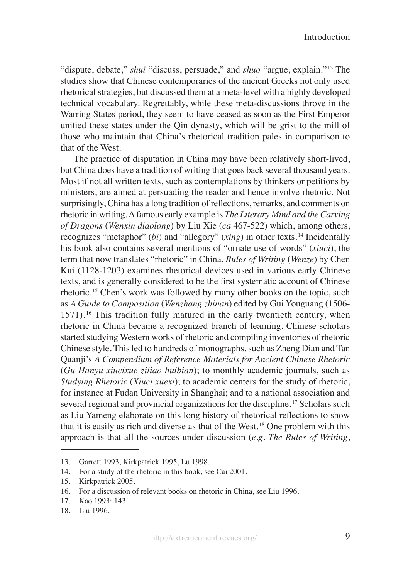"dispute, debate," *shui* "discuss, persuade," and *shuo* "argue, explain."13 The studies show that Chinese contemporaries of the ancient Greeks not only used rhetorical strategies, but discussed them at a meta-level with a highly developed technical vocabulary. Regrettably, while these meta-discussions throve in the Warring States period, they seem to have ceased as soon as the First Emperor unified these states under the Qin dynasty, which will be grist to the mill of those who maintain that China's rhetorical tradition pales in comparison to that of the West.

The practice of disputation in China may have been relatively short-lived, but China does have a tradition of writing that goes back several thousand years. Most if not all written texts, such as contemplations by thinkers or petitions by ministers, are aimed at persuading the reader and hence involve rhetoric. Not surprisingly, China has a long tradition of reflections, remarks, and comments on rhetoric in writing. A famous early example is *The Literary Mind and the Carving of Dragons* (*Wenxin diaolong*) by Liu Xie (*ca* 467-522) which, among others, recognizes "metaphor" (*bi*) and "allegory" (*xing*) in other texts.14 Incidentally his book also contains several mentions of "ornate use of words" (*xiuci*), the term that now translates "rhetoric" in China. *Rules of Writing* (*Wenze*) by Chen Kui (1128-1203) examines rhetorical devices used in various early Chinese texts, and is generally considered to be the first systematic account of Chinese rhetoric.15 Chen's work was followed by many other books on the topic, such as *A Guide to Composition* (*Wenzhang zhinan*) edited by Gui Youguang (1506- 1571). 16 This tradition fully matured in the early twentieth century, when rhetoric in China became a recognized branch of learning. Chinese scholars started studying Western works of rhetoric and compiling inventories of rhetoric Chinese style. This led to hundreds of monographs, such as Zheng Dian and Tan Quanji's *A Compendium of Reference Materials for Ancient Chinese Rhetoric*  (*Gu Hanyu xiucixue ziliao huibian*); to monthly academic journals, such as *Studying Rhetoric* (*Xiuci xuexi*); to academic centers for the study of rhetoric, for instance at Fudan University in Shanghai; and to a national association and several regional and provincial organizations for the discipline.<sup>17</sup> Scholars such as Liu Yameng elaborate on this long history of rhetorical reflections to show that it is easily as rich and diverse as that of the West.18 One problem with this approach is that all the sources under discussion (*e.g. The Rules of Writing*,

<sup>13.</sup> Garrett 1993, Kirkpatrick 1995, Lu 1998.

<sup>14.</sup> For a study of the rhetoric in this book, see Cai 2001.

<sup>15.</sup> Kirkpatrick 2005.

<sup>16.</sup> For a discussion of relevant books on rhetoric in China, see Liu 1996.

<sup>17.</sup> Kao 1993: 143.

<sup>18.</sup> Liu 1996.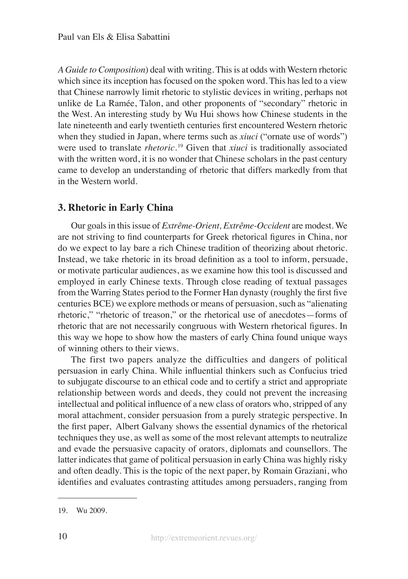*A Guide to Composition*) deal with writing. This is at odds with Western rhetoric which since its inception has focused on the spoken word. This has led to a view that Chinese narrowly limit rhetoric to stylistic devices in writing, perhaps not unlike de La Ramée, Talon, and other proponents of "secondary" rhetoric in the West. An interesting study by Wu Hui shows how Chinese students in the late nineteenth and early twentieth centuries first encountered Western rhetoric when they studied in Japan, where terms such as *xiuci* ("ornate use of words") were used to translate *rhetoric*. 19 Given that *xiuci* is traditionally associated with the written word, it is no wonder that Chinese scholars in the past century came to develop an understanding of rhetoric that differs markedly from that in the Western world.

## **3. Rhetoric in Early China**

Our goals in this issue of *Extrême-Orient, Extrême-Occident* are modest. We are not striving to find counterparts for Greek rhetorical figures in China, nor do we expect to lay bare a rich Chinese tradition of theorizing about rhetoric. Instead, we take rhetoric in its broad definition as a tool to inform, persuade, or motivate particular audiences, as we examine how this tool is discussed and employed in early Chinese texts. Through close reading of textual passages from the Warring States period to the Former Han dynasty (roughly the first five centuries BCE) we explore methods or means of persuasion, such as "alienating rhetoric," "rhetoric of treason," or the rhetorical use of anecdotes—forms of rhetoric that are not necessarily congruous with Western rhetorical figures. In this way we hope to show how the masters of early China found unique ways of winning others to their views.

The first two papers analyze the difficulties and dangers of political persuasion in early China. While influential thinkers such as Confucius tried to subjugate discourse to an ethical code and to certify a strict and appropriate relationship between words and deeds, they could not prevent the increasing intellectual and political influence of a new class of orators who, stripped of any moral attachment, consider persuasion from a purely strategic perspective. In the first paper, Albert Galvany shows the essential dynamics of the rhetorical techniques they use, as well as some of the most relevant attempts to neutralize and evade the persuasive capacity of orators, diplomats and counsellors. The latter indicates that game of political persuasion in early China was highly risky and often deadly. This is the topic of the next paper, by Romain Graziani, who identifies and evaluates contrasting attitudes among persuaders, ranging from

<sup>19.</sup> Wu 2009.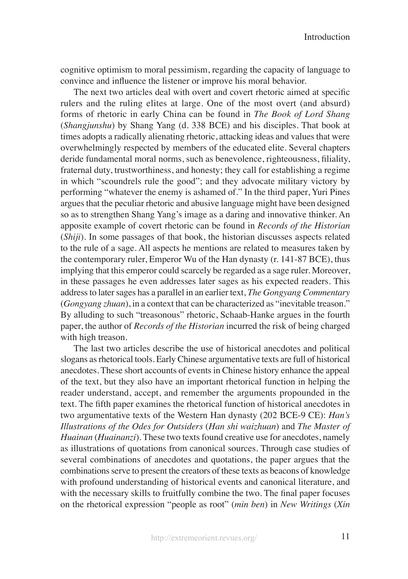Introduction

cognitive optimism to moral pessimism, regarding the capacity of language to convince and influence the listener or improve his moral behavior.

The next two articles deal with overt and covert rhetoric aimed at specific rulers and the ruling elites at large. One of the most overt (and absurd) forms of rhetoric in early China can be found in *The Book of Lord Shang*  (*Shangjunshu*) by Shang Yang (d. 338 BCE) and his disciples. That book at times adopts a radically alienating rhetoric, attacking ideas and values that were overwhelmingly respected by members of the educated elite. Several chapters deride fundamental moral norms, such as benevolence, righteousness, filiality, fraternal duty, trustworthiness, and honesty; they call for establishing a regime in which "scoundrels rule the good"; and they advocate military victory by performing "whatever the enemy is ashamed of." In the third paper, Yuri Pines argues that the peculiar rhetoric and abusive language might have been designed so as to strengthen Shang Yang's image as a daring and innovative thinker. An apposite example of covert rhetoric can be found in *Records of the Historian*  (*Shiji*). In some passages of that book, the historian discusses aspects related to the rule of a sage. All aspects he mentions are related to measures taken by the contemporary ruler, Emperor Wu of the Han dynasty (r. 141-87 BCE), thus implying that this emperor could scarcely be regarded as a sage ruler. Moreover, in these passages he even addresses later sages as his expected readers. This address to later sages has a parallel in an earlier text, *The Gongyang Commentary*  (*Gongyang zhuan*), in a context that can be characterized as "inevitable treason." By alluding to such "treasonous" rhetoric, Schaab-Hanke argues in the fourth paper, the author of *Records of the Historian* incurred the risk of being charged with high treason.

The last two articles describe the use of historical anecdotes and political slogans as rhetorical tools. Early Chinese argumentative texts are full of historical anecdotes. These short accounts of events in Chinese history enhance the appeal of the text, but they also have an important rhetorical function in helping the reader understand, accept, and remember the arguments propounded in the text. The fifth paper examines the rhetorical function of historical anecdotes in two argumentative texts of the Western Han dynasty (202 BCE-9 CE): *Han's Illustrations of the Odes for Outsiders* (*Han shi waizhuan*) and *The Master of Huainan* (*Huainanzi*). These two texts found creative use for anecdotes, namely as illustrations of quotations from canonical sources. Through case studies of several combinations of anecdotes and quotations, the paper argues that the combinations serve to present the creators of these texts as beacons of knowledge with profound understanding of historical events and canonical literature, and with the necessary skills to fruitfully combine the two. The final paper focuses on the rhetorical expression "people as root" (*min ben*) in *New Writings* (*Xin*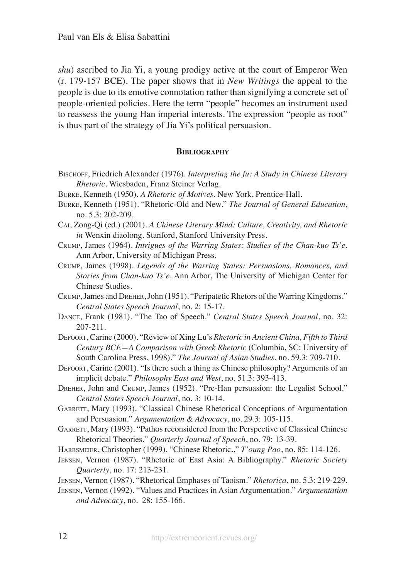*shu*) ascribed to Jia Yi, a young prodigy active at the court of Emperor Wen (r. 179-157 BCE). The paper shows that in *New Writings* the appeal to the people is due to its emotive connotation rather than signifying a concrete set of people-oriented policies. Here the term "people" becomes an instrument used to reassess the young Han imperial interests. The expression "people as root" is thus part of the strategy of Jia Yi's political persuasion.

### **Bibliography**

- Bischoff, Friedrich Alexander (1976). *Interpreting the fu: A Study in Chinese Literary Rhetoric*. Wiesbaden, Franz Steiner Verlag.
- Burke, Kenneth (1950). *A Rhetoric of Motives*. New York, Prentice-Hall.
- Burke, Kenneth (1951). "Rhetoric-Old and New." *The Journal of General Education*, no. 5.3: 202-209.
- Cai, Zong-Qi (ed.) (2001). *A Chinese Literary Mind: Culture, Creativity, and Rhetoric in* Wenxin diaolong. Stanford, Stanford University Press.
- Crump, James (1964). *Intrigues of the Warring States: Studies of the Chan-kuo Ts'e*. Ann Arbor, University of Michigan Press.
- Crump, James (1998). *Legends of the Warring States: Persuasions, Romances, and Stories from Chan-kuo Ts'e*. Ann Arbor, The University of Michigan Center for Chinese Studies.

Crump, James and Dreher, John (1951). "Peripatetic Rhetors of the Warring Kingdoms." *Central States Speech Journal*, no. 2: 15-17.

- Dance, Frank (1981). "The Tao of Speech." *Central States Speech Journal*, no. 32: 207-211.
- Defoort, Carine (2000). "Review of Xing Lu's *Rhetoric in Ancient China, Fifth to Third Century BCE—A Comparison with Greek Rhetoric* (Columbia, SC: University of South Carolina Press, 1998)." *The Journal of Asian Studies*, no. 59.3: 709-710.
- Defoort, Carine (2001). "Is there such a thing as Chinese philosophy? Arguments of an implicit debate." *Philosophy East and West*, no. 51.3: 393-413.
- Dreher, John and Crump, James (1952). "Pre-Han persuasion: the Legalist School." *Central States Speech Journal*, no. 3: 10-14.
- GARRETT, Mary (1993). "Classical Chinese Rhetorical Conceptions of Argumentation and Persuasion." *Argumentation & Advocacy*, no. 29.3: 105-115.
- GARRETT, Mary (1993). "Pathos reconsidered from the Perspective of Classical Chinese Rhetorical Theories." *Quarterly Journal of Speech*, no. 79: 13-39.
- Harbsmeier, Christopher (1999). "Chinese Rhetoric.," *T'oung Pao*, no. 85: 114-126.
- Jensen, Vernon (1987). "Rhetoric of East Asia: A Bibliography." *Rhetoric Society Quarterly*, no. 17: 213-231.
- Jensen, Vernon (1987). "Rhetorical Emphases of Taoism." *Rhetorica*, no. 5.3: 219-229.
- Jensen, Vernon (1992). "Values and Practices in Asian Argumentation." *Argumentation and Advocacy*, no. 28: 155-166.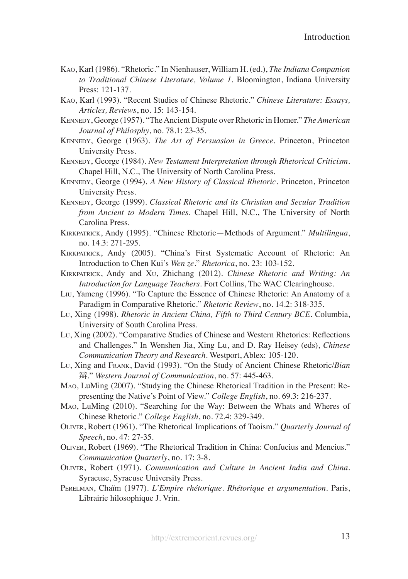- Kao, Karl (1986). "Rhetoric." In Nienhauser, William H. (ed.), *The Indiana Companion to Traditional Chinese Literature, Volume 1*. Bloomington, Indiana University Press: 121-137.
- Kao, Karl (1993). "Recent Studies of Chinese Rhetoric." *Chinese Literature: Essays, Articles, Reviews*, no. 15: 143-154.
- Kennedy, George (1957). "The Ancient Dispute over Rhetoric in Homer." *The American Journal of Philosphy*, no. 78.1: 23-35.
- Kennedy, George (1963). *The Art of Persuasion in Greece*. Princeton, Princeton University Press.
- Kennedy, George (1984). *New Testament Interpretation through Rhetorical Criticism*. Chapel Hill, N.C., The University of North Carolina Press.
- Kennedy, George (1994). *A New History of Classical Rhetoric*. Princeton, Princeton University Press.
- Kennedy, George (1999). *Classical Rhetoric and its Christian and Secular Tradition from Ancient to Modern Times*. Chapel Hill, N.C., The University of North Carolina Press.
- Kirkpatrick, Andy (1995). "Chinese Rhetoric—Methods of Argument." *Multilingua*, no. 14.3: 271-295.
- Kirkpatrick, Andy (2005). "China's First Systematic Account of Rhetoric: An Introduction to Chen Kui's *Wen ze*." *Rhetorica*, no. 23: 103-152.
- Kirkpatrick, Andy and Xu, Zhichang (2012). *Chinese Rhetoric and Writing: An Introduction for Language Teachers*. Fort Collins, The WAC Clearinghouse.
- Liu, Yameng (1996). "To Capture the Essence of Chinese Rhetoric: An Anatomy of a Paradigm in Comparative Rhetoric." *Rhetoric Review*, no. 14.2: 318-335.
- Lu, Xing (1998). *Rhetoric in Ancient China, Fifth to Third Century BCE*. Columbia, University of South Carolina Press.
- Lu, Xing (2002). "Comparative Studies of Chinese and Western Rhetorics: Reflections and Challenges." In Wenshen Jia, Xing Lu, and D. Ray Heisey (eds), *Chinese Communication Theory and Research*. Westport, Ablex: 105-120.
- Lu, Xing and Frank, David (1993). "On the Study of Ancient Chinese Rhetoric/*Bian*  辯." *Western Journal of Communication*, no. 57: 445-463.
- Mao, LuMing (2007). "Studying the Chinese Rhetorical Tradition in the Present: Representing the Native's Point of View." *College English*, no. 69.3: 216-237.
- Mao, LuMing (2010). "Searching for the Way: Between the Whats and Wheres of Chinese Rhetoric." *College English*, no. 72.4: 329-349.
- Oliver, Robert (1961). "The Rhetorical Implications of Taoism." *Quarterly Journal of Speech*, no. 47: 27-35.
- Oliver, Robert (1969). "The Rhetorical Tradition in China: Confucius and Mencius." *Communication Quarterly*, no. 17: 3-8.
- Oliver, Robert (1971). *Communication and Culture in Ancient India and China*. Syracuse, Syracuse University Press.
- Perelman, Chaïm (1977). *L'Empire rhétorique. Rhétorique et argumentation*. Paris, Librairie hilosophique J. Vrin.